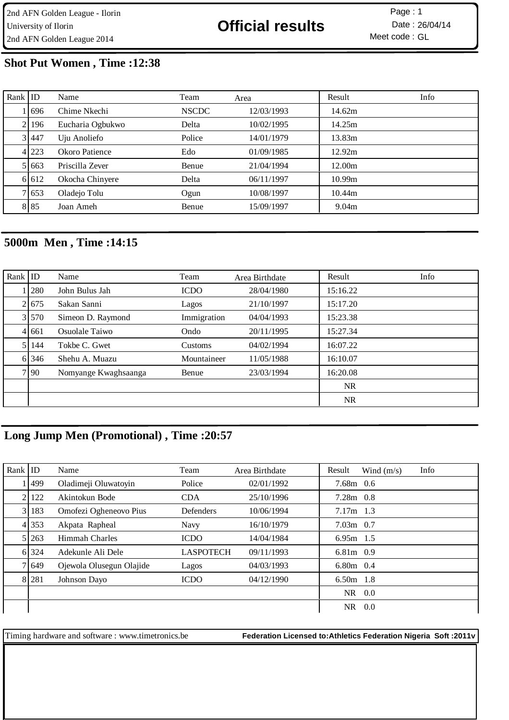# **Shot Put Women , Time :12:38**

| Rank $ $ ID |        | Name             | Team         | Area       | Result            | Info |
|-------------|--------|------------------|--------------|------------|-------------------|------|
|             | 1696   | Chime Nkechi     | <b>NSCDC</b> | 12/03/1993 | 14.62m            |      |
|             | 2 196  | Eucharia Ogbukwo | Delta        | 10/02/1995 | 14.25m            |      |
|             | 3 447  | Uju Anoliefo     | Police       | 14/01/1979 | 13.83m            |      |
|             | 4 223  | Okoro Patience   | Edo          | 01/09/1985 | 12.92m            |      |
|             | 5 663  | Priscilla Zever  | Benue        | 21/04/1994 | 12.00m            |      |
|             | 6 6 12 | Okocha Chinyere  | Delta        | 06/11/1997 | 10.99m            |      |
|             | 7 653  | Oladejo Tolu     | Ogun         | 10/08/1997 | 10.44m            |      |
|             | 8 8 5  | Joan Ameh        | Benue        | 15/09/1997 | 9.04 <sub>m</sub> |      |

# **5000m Men , Time :14:15**

| Rank $ $ ID |         | Name                 | Team        | Area Birthdate | Result    | Info |
|-------------|---------|----------------------|-------------|----------------|-----------|------|
|             | 1   280 | John Bulus Jah       | <b>ICDO</b> | 28/04/1980     | 15:16.22  |      |
|             | 21675   | Sakan Sanni          | Lagos       | 21/10/1997     | 15:17.20  |      |
|             | 3 570   | Simeon D. Raymond    | Immigration | 04/04/1993     | 15:23.38  |      |
|             | 4 6 6 1 | Osuolale Taiwo       | Ondo        | 20/11/1995     | 15:27.34  |      |
|             | 5 144   | Tokbe C. Gwet        | Customs     | 04/02/1994     | 16:07.22  |      |
|             | 6 346   | Shehu A. Muazu       | Mountaineer | 11/05/1988     | 16:10.07  |      |
|             | 7 90    | Nomyange Kwaghsaanga | Benue       | 23/03/1994     | 16:20.08  |      |
|             |         |                      |             |                | <b>NR</b> |      |
|             |         |                      |             |                | <b>NR</b> |      |

# **Long Jump Men (Promotional) , Time :20:57**

| Rank $ $ ID |       | Name                     | Team             | Area Birthdate | Result      | Wind $(m/s)$ | Info |
|-------------|-------|--------------------------|------------------|----------------|-------------|--------------|------|
|             | 499   | Oladimeji Oluwatoyin     | Police           | 02/01/1992     | $7.68m$ 0.6 |              |      |
|             | 122   | Akintokun Bode           | <b>CDA</b>       | 25/10/1996     | $7.28m$ 0.8 |              |      |
|             | 3 183 | Omofezi Ogheneovo Pius   | <b>Defenders</b> | 10/06/1994     | $7.17m$ 1.3 |              |      |
|             | 4 353 | Akpata Rapheal           | <b>Navy</b>      | 16/10/1979     | $7.03m$ 0.7 |              |      |
|             | 5 263 | Himmah Charles           | <b>ICDO</b>      | 14/04/1984     | $6.95m$ 1.5 |              |      |
|             | 6 324 | Adekunle Ali Dele        | <b>LASPOTECH</b> | 09/11/1993     | 6.81m 0.9   |              |      |
|             | 7 649 | Ojewola Olusegun Olajide | Lagos            | 04/03/1993     | $6.80m$ 0.4 |              |      |
|             | 8 281 | Johnson Dayo             | <b>ICDO</b>      | 04/12/1990     | $6.50m$ 1.8 |              |      |
|             |       |                          |                  |                | NR.         | 0.0          |      |
|             |       |                          |                  |                | <b>NR</b>   | 0.0          |      |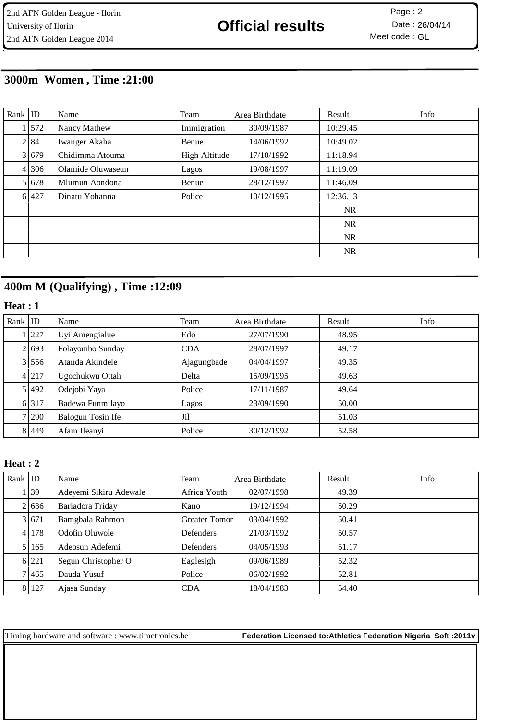# **3000m Women , Time :21:00**

| Rank $ $ ID |         | Name              | Team                 | Area Birthdate | Result    | Info |
|-------------|---------|-------------------|----------------------|----------------|-----------|------|
|             | 1 572   | Nancy Mathew      | Immigration          | 30/09/1987     | 10:29.45  |      |
|             | 2 84    | Iwanger Akaha     | Benue                | 14/06/1992     | 10:49.02  |      |
|             | 3 679   | Chidimma Atouma   | <b>High Altitude</b> | 17/10/1992     | 11:18.94  |      |
|             | 4 306   | Olamide Oluwaseun | Lagos                | 19/08/1997     | 11:19.09  |      |
|             | 5 6 7 8 | Mlumun Aondona    | Benue                | 28/12/1997     | 11:46.09  |      |
|             | 6 427   | Dinatu Yohanna    | Police               | 10/12/1995     | 12:36.13  |      |
|             |         |                   |                      |                | <b>NR</b> |      |
|             |         |                   |                      |                | NR.       |      |
|             |         |                   |                      |                | <b>NR</b> |      |
|             |         |                   |                      |                | <b>NR</b> |      |

# **400m M (Qualifying) , Time :12:09**

## **Heat : 1**

| Rank $ $ ID |         | Name              | Team        | Area Birthdate | Result | Info |
|-------------|---------|-------------------|-------------|----------------|--------|------|
|             | 227     | Uyi Amengialue    | Edo         | 27/07/1990     | 48.95  |      |
|             | 2 693   | Folayombo Sunday  | <b>CDA</b>  | 28/07/1997     | 49.17  |      |
|             | 31556   | Atanda Akindele   | Ajagungbade | 04/04/1997     | 49.35  |      |
|             | 4 2 1 7 | Ugochukwu Ottah   | Delta       | 15/09/1995     | 49.63  |      |
|             | 5 492   | Odejobi Yaya      | Police      | 17/11/1987     | 49.64  |      |
|             | 6 317   | Badewa Funmilayo  | Lagos       | 23/09/1990     | 50.00  |      |
|             | 71290   | Balogun Tosin Ife | Jil         |                | 51.03  |      |
|             | 8 449   | Afam Ifeanyi      | Police      | 30/12/1992     | 52.58  |      |

## **Heat : 2**

| Rank $ $ ID |       | Name                   | Team                 | Area Birthdate | Result | Info |
|-------------|-------|------------------------|----------------------|----------------|--------|------|
|             | .139  | Adeyemi Sikiru Adewale | Africa Youth         | 02/07/1998     | 49.39  |      |
|             | 21636 | Bariadora Friday       | Kano                 | 19/12/1994     | 50.29  |      |
|             | 3 671 | Bamgbala Rahmon        | <b>Greater Tomor</b> | 03/04/1992     | 50.41  |      |
|             | 41178 | Odofin Oluwole         | Defenders            | 21/03/1992     | 50.57  |      |
|             | 5 165 | Adeosun Adefemi        | <b>Defenders</b>     | 04/05/1993     | 51.17  |      |
|             | 6 221 | Segun Christopher O    | Eaglesigh            | 09/06/1989     | 52.32  |      |
|             | 71465 | Dauda Yusuf            | Police               | 06/02/1992     | 52.81  |      |
|             | 8 127 | Ajasa Sunday           | CDA                  | 18/04/1983     | 54.40  |      |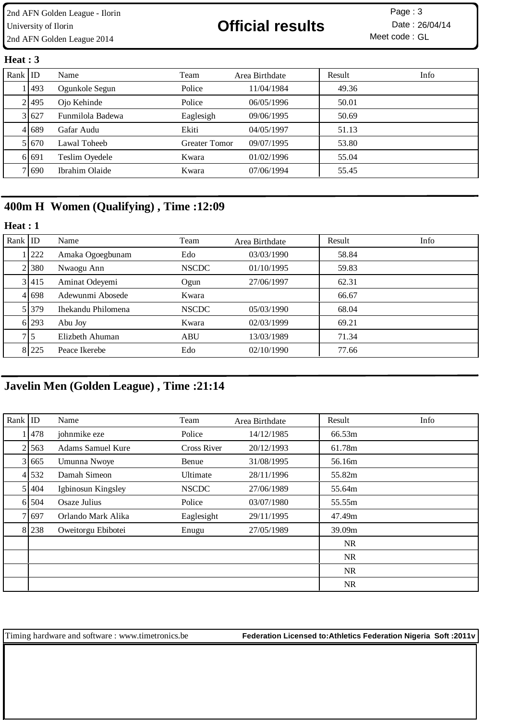### **Heat : 3**

| Rank $ $ ID |           | Name             | Team                 | Area Birthdate | Result | Info |
|-------------|-----------|------------------|----------------------|----------------|--------|------|
|             | 11493     | Ogunkole Segun   | Police               | 11/04/1984     | 49.36  |      |
|             | 21495     | Ojo Kehinde      | Police               | 06/05/1996     | 50.01  |      |
|             | 3 627     | Funmilola Badewa | Eaglesigh            | 09/06/1995     | 50.69  |      |
|             | 4 689     | Gafar Audu       | Ekiti                | 04/05/1997     | 51.13  |      |
|             | 5 6 6 7 0 | Lawal Toheeb     | <b>Greater Tomor</b> | 09/07/1995     | 53.80  |      |
|             | 6 6 6 9 1 | Teslim Oyedele   | Kwara                | 01/02/1996     | 55.04  |      |
|             | 7 690     | Ibrahim Olaide   | Kwara                | 07/06/1994     | 55.45  |      |

# **400m H Women (Qualifying) , Time :12:09**

### **Heat : 1**

| Rank $ $ ID |       | Name               | Team         | Area Birthdate | Result | Info |
|-------------|-------|--------------------|--------------|----------------|--------|------|
|             | 1 222 | Amaka Ogoegbunam   | Edo          | 03/03/1990     | 58.84  |      |
|             | 2 380 | Nwaogu Ann         | <b>NSCDC</b> | 01/10/1995     | 59.83  |      |
|             | 3 415 | Aminat Odeyemi     | Ogun         | 27/06/1997     | 62.31  |      |
|             | 4 698 | Adewunmi Abosede   | Kwara        |                | 66.67  |      |
|             | 5 379 | Ihekandu Philomena | <b>NSCDC</b> | 05/03/1990     | 68.04  |      |
|             | 6 293 | Abu Joy            | Kwara        | 02/03/1999     | 69.21  |      |
|             | 7 I 5 | Elizbeth Ahuman    | <b>ABU</b>   | 13/03/1989     | 71.34  |      |
|             | 8 225 | Peace Ikerebe      | Edo          | 02/10/1990     | 77.66  |      |

# **Javelin Men (Golden League) , Time :21:14**

| Rank $ $ ID |         | Name                     | Team               | Area Birthdate | Result    | Info |
|-------------|---------|--------------------------|--------------------|----------------|-----------|------|
|             | 478     | johnmike eze             | Police             | 14/12/1985     | 66.53m    |      |
|             | 2 563   | <b>Adams Samuel Kure</b> | <b>Cross River</b> | 20/12/1993     | 61.78m    |      |
|             | 3 665   | Umunna Nwoye             | Benue              | 31/08/1995     | 56.16m    |      |
|             | 4 532   | Damah Simeon             | Ultimate           | 28/11/1996     | 55.82m    |      |
|             | 5 404   | Igbinosun Kingsley       | <b>NSCDC</b>       | 27/06/1989     | 55.64m    |      |
|             | 6 5 0 4 | Osaze Julius             | Police             | 03/07/1980     | 55.55m    |      |
|             | 7 697   | Orlando Mark Alika       | Eaglesight         | 29/11/1995     | 47.49m    |      |
|             | 8 238   | Oweitorgu Ebibotei       | Enugu              | 27/05/1989     | 39.09m    |      |
|             |         |                          |                    |                | <b>NR</b> |      |
|             |         |                          |                    |                | <b>NR</b> |      |
|             |         |                          |                    |                | NR        |      |
|             |         |                          |                    |                | NR        |      |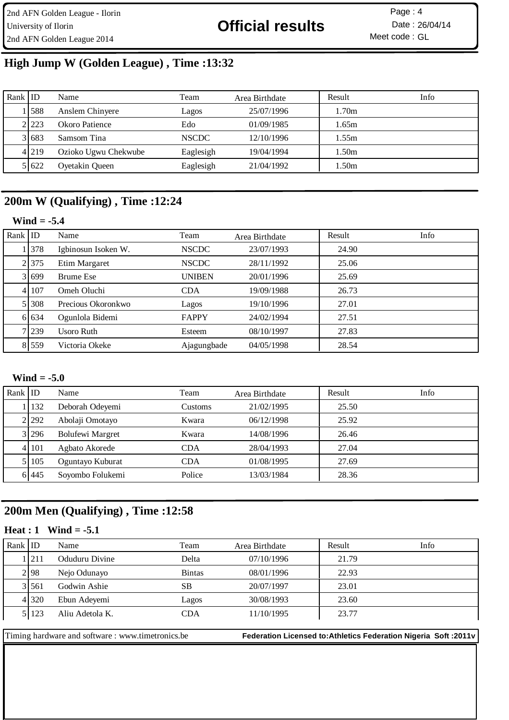# **High Jump W (Golden League) , Time :13:32**

| Rank ID |         | Name                 | Team         | Area Birthdate | Result | Info |
|---------|---------|----------------------|--------------|----------------|--------|------|
|         | .1588   | Anslem Chinyere      | Lagos        | 25/07/1996     | 1.70m  |      |
|         | 2.223   | Okoro Patience       | Edo          | 01/09/1985     | .65m   |      |
|         | 3 683   | Samsom Tina          | <b>NSCDC</b> | 12/10/1996     | .55m   |      |
|         | 4 2 1 9 | Ozioko Ugwu Chekwube | Eaglesigh    | 19/04/1994     | 1.50m  |      |
|         | 5 6 22  | Oyetakin Queen       | Eaglesigh    | 21/04/1992     | 1.50m  |      |

# **200m W (Qualifying) , Time :12:24**

| Wind |  |
|------|--|
|------|--|

| Rank $ $ ID |         | Name                | Team          | Area Birthdate | Result | Info |
|-------------|---------|---------------------|---------------|----------------|--------|------|
|             | 378     | Igbinosun Isoken W. | <b>NSCDC</b>  | 23/07/1993     | 24.90  |      |
|             | 2.375   | Etim Margaret       | <b>NSCDC</b>  | 28/11/1992     | 25.06  |      |
|             | 3 699   | Brume Ese           | <b>UNIBEN</b> | 20/01/1996     | 25.69  |      |
|             | 4 107   | Omeh Oluchi         | <b>CDA</b>    | 19/09/1988     | 26.73  |      |
|             | 5 3 0 8 | Precious Okoronkwo  | Lagos         | 19/10/1996     | 27.01  |      |
|             | 6 6 3 4 | Ogunlola Bidemi     | FAPPY         | 24/02/1994     | 27.51  |      |
|             | 7 239   | Usoro Ruth          | Esteem        | 08/10/1997     | 27.83  |      |
|             | 8 559   | Victoria Okeke      | Ajagungbade   | 04/05/1998     | 28.54  |      |

## **Wind = -5.0**

| Rank $ $ ID |           | Name                    | Team       | Area Birthdate | Result | Info |
|-------------|-----------|-------------------------|------------|----------------|--------|------|
|             | 1   132   | Deborah Odeyemi         | Customs    | 21/02/1995     | 25.50  |      |
|             | 2.292     | Abolaji Omotayo         | Kwara      | 06/12/1998     | 25.92  |      |
|             | 3 296     | <b>Bolufewi Margret</b> | Kwara      | 14/08/1996     | 26.46  |      |
|             | 4 1 1 0 1 | Agbato Akorede          | <b>CDA</b> | 28/04/1993     | 27.04  |      |
|             | 5 105     | Oguntayo Kuburat        | <b>CDA</b> | 01/08/1995     | 27.69  |      |
|             | 6 445     | Soyombo Folukemi        | Police     | 13/03/1984     | 28.36  |      |

# **200m Men (Qualifying) , Time :12:58**

### **Heat : 1 Wind = -5.1**

| Rank ID |         | Name            | Team          | Area Birthdate | Result | Info |
|---------|---------|-----------------|---------------|----------------|--------|------|
|         | .1211   | Oduduru Divine  | Delta         | 07/10/1996     | 21.79  |      |
|         | 2 98    | Nejo Odunayo    | <b>Bintas</b> | 08/01/1996     | 22.93  |      |
|         | 3 561   | Godwin Ashie    | <b>SB</b>     | 20/07/1997     | 23.01  |      |
|         | 4 3 2 0 | Ebun Adeyemi    | Lagos         | 30/08/1993     | 23.60  |      |
|         | 5 123   | Aliu Adetola K. | CDA           | 11/10/1995     | 23.77  |      |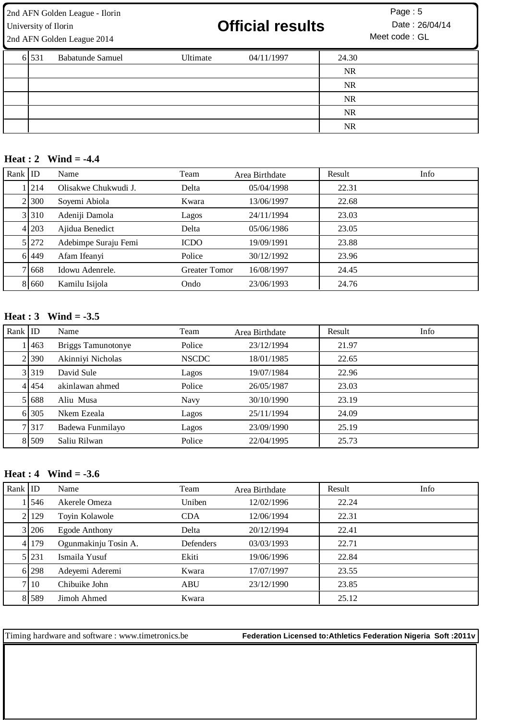2nd AFN Golden League - Ilorin 5 University of Ilorin **26/04/14** University of Ilorin **26/04/14** Date : 26/04/14 2nd AFN Golden League 2014

| 6 5 3 1 | <b>Babatunde Samuel</b> | Ultimate | 04/11/1997 | 24.30     |  |
|---------|-------------------------|----------|------------|-----------|--|
|         |                         |          |            | <b>NR</b> |  |
|         |                         |          |            | <b>NR</b> |  |
|         |                         |          |            | <b>NR</b> |  |
|         |                         |          |            | <b>NR</b> |  |
|         |                         |          |            | <b>NR</b> |  |

### **Heat : 2 Wind = -4.4**

| Rank $ $ ID |            | Name                 | Team                 | Area Birthdate | Result | Info |
|-------------|------------|----------------------|----------------------|----------------|--------|------|
|             | <b>214</b> | Olisakwe Chukwudi J. | Delta                | 05/04/1998     | 22.31  |      |
|             | 2 300      | Soyemi Abiola        | Kwara                | 13/06/1997     | 22.68  |      |
|             | 3 310      | Adeniji Damola       | Lagos                | 24/11/1994     | 23.03  |      |
|             | 4 203      | Ajidua Benedict      | Delta                | 05/06/1986     | 23.05  |      |
|             | 5 272      | Adebimpe Suraju Femi | <b>ICDO</b>          | 19/09/1991     | 23.88  |      |
|             | 6 449      | Afam Ifeanyi         | Police               | 30/12/1992     | 23.96  |      |
|             | 71668      | Idowu Adenrele.      | <b>Greater Tomor</b> | 16/08/1997     | 24.45  |      |
|             | 8 660      | Kamilu Isijola       | Ondo                 | 23/06/1993     | 24.76  |      |

## **Heat : 3 Wind = -3.5**

| Rank $ $ ID |           | Name               | Team         | Area Birthdate | Result | Info |
|-------------|-----------|--------------------|--------------|----------------|--------|------|
|             | 1463      | Briggs Tamunotonye | Police       | 23/12/1994     | 21.97  |      |
|             | 2 390     | Akinniyi Nicholas  | <b>NSCDC</b> | 18/01/1985     | 22.65  |      |
|             | 3 3 19    | David Sule         | Lagos        | 19/07/1984     | 22.96  |      |
|             | 4 4 4 5 4 | akinlawan ahmed    | Police       | 26/05/1987     | 23.03  |      |
|             | 5 688     | Aliu Musa          | Navy         | 30/10/1990     | 23.19  |      |
|             | 6 305     | Nkem Ezeala        | Lagos        | 25/11/1994     | 24.09  |      |
|             | 7 3 1 7   | Badewa Funmilayo   | Lagos        | 23/09/1990     | 25.19  |      |
|             | 8 509     | Saliu Rilwan       | Police       | 22/04/1995     | 25.73  |      |

## **Heat : 4 Wind = -3.6**

| Rank $ $ ID |        | Name                 | Team       | Area Birthdate | Result | Info |
|-------------|--------|----------------------|------------|----------------|--------|------|
|             | 11546  | Akerele Omeza        | Uniben     | 12/02/1996     | 22.24  |      |
|             | 2 129  | Toyin Kolawole       | <b>CDA</b> | 12/06/1994     | 22.31  |      |
|             | 3 206  | Egode Anthony        | Delta      | 20/12/1994     | 22.41  |      |
|             | 4 179  | Ogunmakinju Tosin A. | Defenders  | 03/03/1993     | 22.71  |      |
|             | 5 231  | Ismaila Yusuf        | Ekiti      | 19/06/1996     | 22.84  |      |
|             | 6 298  | Adeyemi Aderemi      | Kwara      | 17/07/1997     | 23.55  |      |
|             | 7   10 | Chibuike John        | <b>ABU</b> | 23/12/1990     | 23.85  |      |
|             | 8 589  | Jimoh Ahmed          | Kwara      |                | 25.12  |      |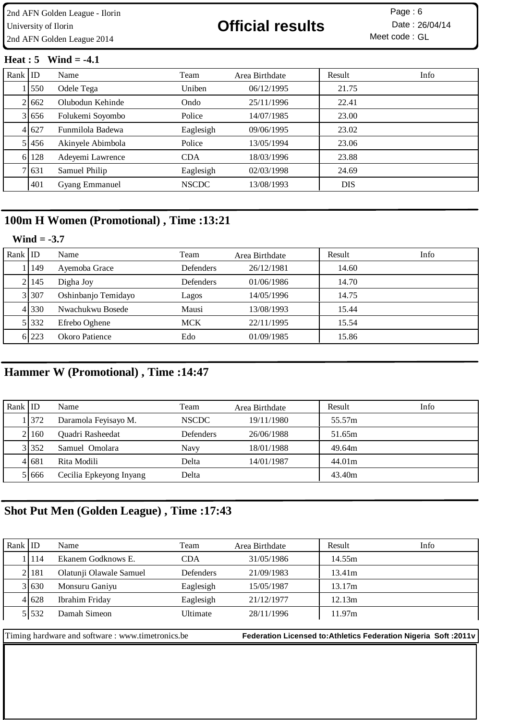### **Heat : 5 Wind = -4.1**

| Rank $ $ ID |        | Name                  | Team         | Area Birthdate | Result     | Info |
|-------------|--------|-----------------------|--------------|----------------|------------|------|
|             | 1550   | Odele Tega            | Uniben       | 06/12/1995     | 21.75      |      |
|             | 2 662  | Olubodun Kehinde      | Ondo         | 25/11/1996     | 22.41      |      |
|             | 3 656  | Folukemi Soyombo      | Police       | 14/07/1985     | 23.00      |      |
|             | 4 6 27 | Funmilola Badewa      | Eaglesigh    | 09/06/1995     | 23.02      |      |
|             | 5 456  | Akinyele Abimbola     | Police       | 13/05/1994     | 23.06      |      |
|             | 6 128  | Adeyemi Lawrence      | <b>CDA</b>   | 18/03/1996     | 23.88      |      |
|             | 7 631  | Samuel Philip         | Eaglesigh    | 02/03/1998     | 24.69      |      |
|             | 401    | <b>Gyang Emmanuel</b> | <b>NSCDC</b> | 13/08/1993     | <b>DIS</b> |      |

## **100m H Women (Promotional) , Time :13:21**

### **Wind = -3.7**

| Rank $ $ ID |           | Name                | Team             | Area Birthdate | Result | Info |
|-------------|-----------|---------------------|------------------|----------------|--------|------|
|             | 1149      | Ayemoba Grace       | <b>Defenders</b> | 26/12/1981     | 14.60  |      |
|             | 2   145   | Digha Joy           | Defenders        | 01/06/1986     | 14.70  |      |
|             | 3 307     | Oshinbanjo Temidayo | Lagos            | 14/05/1996     | 14.75  |      |
|             | 4 330     | Nwachukwu Bosede    | Mausi            | 13/08/1993     | 15.44  |      |
|             | 5 3 3 3 2 | Efrebo Oghene       | <b>MCK</b>       | 22/11/1995     | 15.54  |      |
|             | 6 223     | Okoro Patience      | Edo              | 01/09/1985     | 15.86  |      |

# **Hammer W (Promotional) , Time :14:47**

| Rank $ $ ID |         | Name                    | Team             | Area Birthdate | Result | Info |
|-------------|---------|-------------------------|------------------|----------------|--------|------|
|             | 1 372   | Daramola Feyisayo M.    | <b>NSCDC</b>     | 19/11/1980     | 55.57m |      |
|             | 2160    | Quadri Rasheedat        | <b>Defenders</b> | 26/06/1988     | 51.65m |      |
|             | 3 352   | Samuel Omolara          | <b>Navy</b>      | 18/01/1988     | 49.64m |      |
|             | 4 6 6 1 | Rita Modili             | Delta            | 14/01/1987     | 44.01m |      |
|             | 51666   | Cecilia Epkeyong Inyang | Delta            |                | 43.40m |      |

## **Shot Put Men (Golden League) , Time :17:43**

| Rank ID |           | Name                    | Team       | Area Birthdate | Result | Info |
|---------|-----------|-------------------------|------------|----------------|--------|------|
|         | 114       | Ekanem Godknows E.      | <b>CDA</b> | 31/05/1986     | 14.55m |      |
|         | 2   18 1  | Olatunji Olawale Samuel | Defenders  | 21/09/1983     | 13.41m |      |
|         | 3 630     | Monsuru Ganiyu          | Eaglesigh  | 15/05/1987     | 13.17m |      |
|         | 4 6 28    | Ibrahim Friday          | Eaglesigh  | 21/12/1977     | 12.13m |      |
|         | 5 5 5 3 2 | Damah Simeon            | Ultimate   | 28/11/1996     | 11.97m |      |
|         |           |                         |            |                |        |      |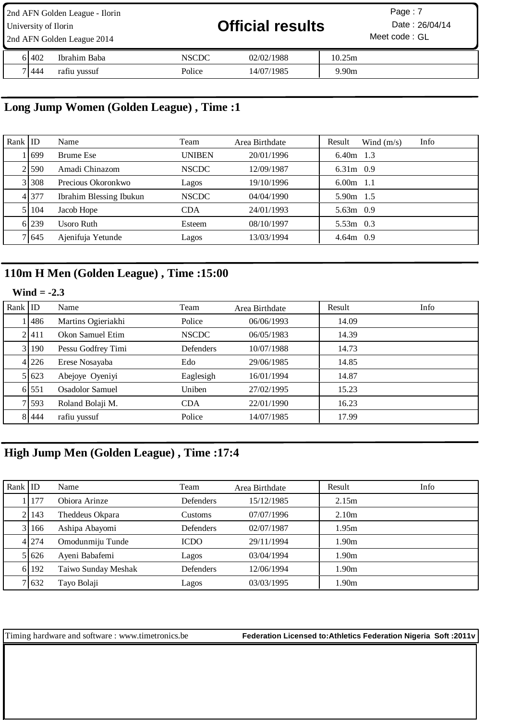| 2nd AFN Golden League - Ilorin<br>University of Ilorin<br>2nd AFN Golden League 2014 |       |              |        | <b>Official results</b> | Page: 7<br>Date: 26/04/14<br>Meet code: GL |  |
|--------------------------------------------------------------------------------------|-------|--------------|--------|-------------------------|--------------------------------------------|--|
|                                                                                      | 61402 | Ibrahim Baba | NSCDC  | 02/02/1988              | 10.25m                                     |  |
|                                                                                      | 71444 | rafiu yussuf | Police | 14/07/1985              | 9.90 <sub>m</sub>                          |  |

# **Long Jump Women (Golden League) , Time :1**

| Rank ID |       | Name                    | Team          | Area Birthdate | Info<br>Result<br>Wind $(m/s)$ |
|---------|-------|-------------------------|---------------|----------------|--------------------------------|
|         | 1699  | Brume Ese               | <b>UNIBEN</b> | 20/01/1996     | $6.40m$ 1.3                    |
|         | 21590 | Amadi Chinazom          | <b>NSCDC</b>  | 12/09/1987     | $6.31m$ 0.9                    |
|         | 31308 | Precious Okoronkwo      | Lagos         | 19/10/1996     | $6.00m$ 1.1                    |
|         | 4 377 | Ibrahim Blessing Ibukun | <b>NSCDC</b>  | 04/04/1990     | 5.90m 1.5                      |
|         | 5 104 | Jacob Hope              | <b>CDA</b>    | 24/01/1993     | $5.63m$ 0.9                    |
|         | 6 239 | <b>Usoro Ruth</b>       | Esteem        | 08/10/1997     | $5.53m$ 0.3                    |
|         | 7 645 | Ajenifuja Yetunde       | Lagos         | 13/03/1994     | $4.64m$ 0.9                    |

# **110m H Men (Golden League) , Time :15:00**

## **Wind = -2.3**

| Rank $ $ ID |         | Name               | Team         | Area Birthdate | Result | Info |
|-------------|---------|--------------------|--------------|----------------|--------|------|
|             | 1486    | Martins Ogieriakhi | Police       | 06/06/1993     | 14.09  |      |
|             | 2.411   | Okon Samuel Etim   | <b>NSCDC</b> | 06/05/1983     | 14.39  |      |
|             | 3 190   | Pessu Godfrey Timi | Defenders    | 10/07/1988     | 14.73  |      |
|             | 4 226   | Erese Nosayaba     | Edo          | 29/06/1985     | 14.85  |      |
|             | 5 623   | Abejoye Oyeniyi    | Eaglesigh    | 16/01/1994     | 14.87  |      |
|             | 6 551   | Osadolor Samuel    | Uniben       | 27/02/1995     | 15.23  |      |
|             | 7 593   | Roland Bolaji M.   | <b>CDA</b>   | 22/01/1990     | 16.23  |      |
|             | 8 4 4 4 | rafiu yussuf       | Police       | 14/07/1985     | 17.99  |      |

# **High Jump Men (Golden League) , Time :17:4**

| Rank $ $ ID |       | Name                | Team             | Area Birthdate | Result            | Info |
|-------------|-------|---------------------|------------------|----------------|-------------------|------|
|             | 177   | Obiora Arinze       | <b>Defenders</b> | 15/12/1985     | 2.15m             |      |
|             | 2.143 | Theddeus Okpara     | Customs          | 07/07/1996     | 2.10 <sub>m</sub> |      |
|             | 3 166 | Ashipa Abayomi      | Defenders        | 02/07/1987     | 1.95m             |      |
|             | 4 274 | Omodunmiju Tunde    | <b>ICDO</b>      | 29/11/1994     | 1.90m             |      |
|             | 51626 | Ayeni Babafemi      | Lagos            | 03/04/1994     | 1.90 <sub>m</sub> |      |
|             | 6 192 | Taiwo Sunday Meshak | <b>Defenders</b> | 12/06/1994     | 1.90 <sub>m</sub> |      |
|             | 7 632 | Tayo Bolaji         | Lagos            | 03/03/1995     | 1.90 <sub>m</sub> |      |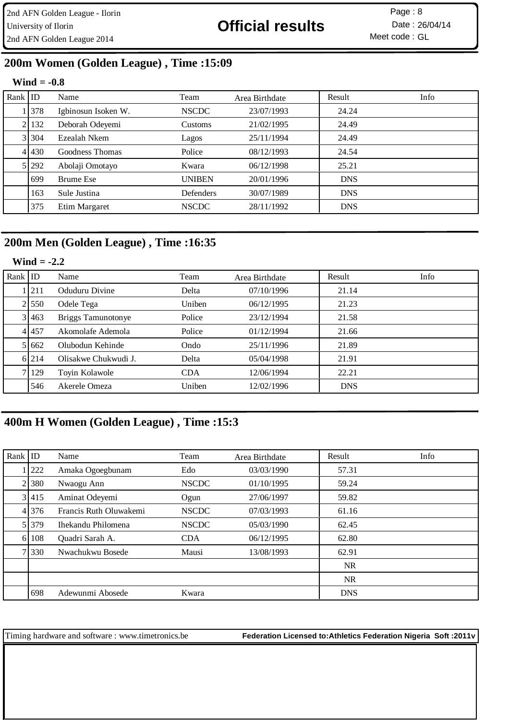# **200m Women (Golden League) , Time :15:09**

## **Wind = -0.8**

| Rank $ $ ID |         | Name                | Team          | Area Birthdate | Result     | Info |
|-------------|---------|---------------------|---------------|----------------|------------|------|
|             | 1 378   | Igbinosun Isoken W. | <b>NSCDC</b>  | 23/07/1993     | 24.24      |      |
|             | 2   132 | Deborah Odeyemi     | Customs       | 21/02/1995     | 24.49      |      |
|             | 3 304   | Ezealah Nkem        | Lagos         | 25/11/1994     | 24.49      |      |
|             | 4 430   | Goodness Thomas     | Police        | 08/12/1993     | 24.54      |      |
|             | 5 292   | Abolaji Omotayo     | Kwara         | 06/12/1998     | 25.21      |      |
|             | 699     | <b>Brume Ese</b>    | <b>UNIBEN</b> | 20/01/1996     | <b>DNS</b> |      |
|             | 163     | Sule Justina        | Defenders     | 30/07/1989     | <b>DNS</b> |      |
|             | 375     | Etim Margaret       | <b>NSCDC</b>  | 28/11/1992     | <b>DNS</b> |      |

## **200m Men (Golden League) , Time :16:35**

## **Wind = -2.2**

| Rank $ $ ID |           | Name                 | Team       | Area Birthdate | Result     | Info |
|-------------|-----------|----------------------|------------|----------------|------------|------|
|             | . 211     | Oduduru Divine       | Delta      | 07/10/1996     | 21.14      |      |
|             | 2 550     | Odele Tega           | Uniben     | 06/12/1995     | 21.23      |      |
|             | 3 463     | Briggs Tamunotonye   | Police     | 23/12/1994     | 21.58      |      |
|             | 4 4 4 5 7 | Akomolafe Ademola    | Police     | 01/12/1994     | 21.66      |      |
|             | 5 662     | Olubodun Kehinde     | Ondo       | 25/11/1996     | 21.89      |      |
|             | 6 214     | Olisakwe Chukwudi J. | Delta      | 05/04/1998     | 21.91      |      |
|             | 7 129     | Toyin Kolawole       | <b>CDA</b> | 12/06/1994     | 22.21      |      |
|             | 546       | Akerele Omeza        | Uniben     | 12/02/1996     | <b>DNS</b> |      |

# **400m H Women (Golden League) , Time :15:3**

| Rank $ $ ID |           | Name                   | Team         | Area Birthdate | Result     | Info |
|-------------|-----------|------------------------|--------------|----------------|------------|------|
|             | 222       | Amaka Ogoegbunam       | Edo          | 03/03/1990     | 57.31      |      |
|             | 21380     | Nwaogu Ann             | <b>NSCDC</b> | 01/10/1995     | 59.24      |      |
|             | 3 415     | Aminat Odeyemi         | Ogun         | 27/06/1997     | 59.82      |      |
|             | 4 3 7 6   | Francis Ruth Oluwakemi | <b>NSCDC</b> | 07/03/1993     | 61.16      |      |
|             | 5 3 3 7 9 | Ihekandu Philomena     | <b>NSCDC</b> | 05/03/1990     | 62.45      |      |
|             | 6 108     | Quadri Sarah A.        | <b>CDA</b>   | 06/12/1995     | 62.80      |      |
|             | 7 330     | Nwachukwu Bosede       | Mausi        | 13/08/1993     | 62.91      |      |
|             |           |                        |              |                | <b>NR</b>  |      |
|             |           |                        |              |                | <b>NR</b>  |      |
|             | 698       | Adewunmi Abosede       | Kwara        |                | <b>DNS</b> |      |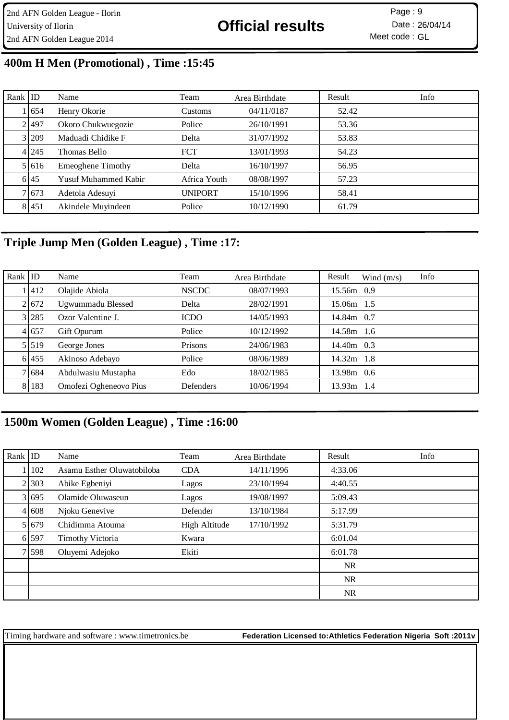# **400m H Men (Promotional) , Time :15:45**

| Rank $ $ ID |         | Name                        | Team           | Area Birthdate | Result | Info |
|-------------|---------|-----------------------------|----------------|----------------|--------|------|
|             | 11654   | Henry Okorie                | Customs        | 04/11/0187     | 52.42  |      |
|             | 21497   | Okoro Chukwuegozie          | Police         | 26/10/1991     | 53.36  |      |
|             | 3 209   | Maduadi Chidike F           | Delta          | 31/07/1992     | 53.83  |      |
|             | 4 245   | Thomas Bello                | <b>FCT</b>     | 13/01/1993     | 54.23  |      |
|             | 5 616   | <b>Emeoghene Timothy</b>    | Delta          | 16/10/1997     | 56.95  |      |
|             | 6 45    | <b>Yusuf Muhammed Kabir</b> | Africa Youth   | 08/08/1997     | 57.23  |      |
|             | 7 673   | Adetola Adesuyi             | <b>UNIPORT</b> | 15/10/1996     | 58.41  |      |
|             | 8 4 5 1 | Akindele Muyindeen          | Police         | 10/12/1990     | 61.79  |      |

## **Triple Jump Men (Golden League) , Time :17:**

| Rank $ $ ID |         | Name                   | Team         | Area Birthdate | Result       | Wind $(m/s)$ | Info |
|-------------|---------|------------------------|--------------|----------------|--------------|--------------|------|
|             | 1   412 | Olajide Abiola         | <b>NSCDC</b> | 08/07/1993     | 15.56m 0.9   |              |      |
|             | 21672   | Ugwummadu Blessed      | Delta        | 28/02/1991     | 15.06m 1.5   |              |      |
|             | 3 28 5  | Ozor Valentine J.      | <b>ICDO</b>  | 14/05/1993     | 14.84m 0.7   |              |      |
|             | 4 657   | Gift Opurum            | Police       | 10/12/1992     | 14.58m 1.6   |              |      |
|             | 5.519   | George Jones           | Prisons      | 24/06/1983     | 14.40m 0.3   |              |      |
|             | 6 455   | Akinoso Adebayo        | Police       | 08/06/1989     | $14.32m$ 1.8 |              |      |
|             | 7 684   | Abdulwasiu Mustapha    | Edo          | 18/02/1985     | 13.98m 0.6   |              |      |
|             | 8 183   | Omofezi Ogheneovo Pius | Defenders    | 10/06/1994     | $13.93m$ 1.4 |              |      |

# **1500m Women (Golden League) , Time :16:00**

| Rank $ $ ID |           | Name                       | Team          | Area Birthdate | Result    | Info |
|-------------|-----------|----------------------------|---------------|----------------|-----------|------|
|             | 102       | Asamu Esther Oluwatobiloba | <b>CDA</b>    | 14/11/1996     | 4:33.06   |      |
|             | 21303     | Abike Egbeniyi             | Lagos         | 23/10/1994     | 4:40.55   |      |
|             | 3 695     | Olamide Oluwaseun          | Lagos         | 19/08/1997     | 5:09.43   |      |
|             | 4 6 6 8   | Njoku Genevive             | Defender      | 13/10/1984     | 5:17.99   |      |
|             | 5 6 6 7 9 | Chidimma Atouma            | High Altitude | 17/10/1992     | 5:31.79   |      |
|             | 6 597     | <b>Timothy Victoria</b>    | Kwara         |                | 6:01.04   |      |
|             | 7 598     | Oluyemi Adejoko            | Ekiti         |                | 6:01.78   |      |
|             |           |                            |               |                | NR        |      |
|             |           |                            |               |                | <b>NR</b> |      |
|             |           |                            |               |                | <b>NR</b> |      |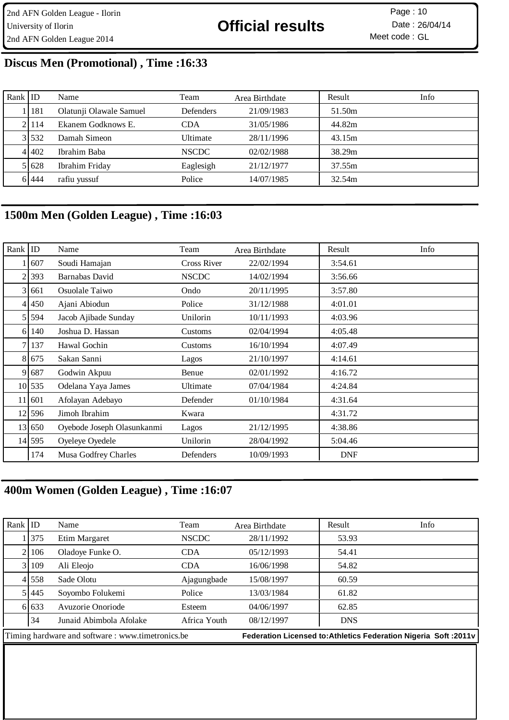# **Discus Men (Promotional) , Time :16:33**

| Rank ID |           | Name                    | Team             | Area Birthdate | Result | Info |
|---------|-----------|-------------------------|------------------|----------------|--------|------|
|         | 1   181   | Olatunji Olawale Samuel | <b>Defenders</b> | 21/09/1983     | 51.50m |      |
|         | 21114     | Ekanem Godknows E.      | <b>CDA</b>       | 31/05/1986     | 44.82m |      |
|         | 3 5 5 3 2 | Damah Simeon            | Ultimate         | 28/11/1996     | 43.15m |      |
|         | 41402     | Ibrahim Baba            | <b>NSCDC</b>     | 02/02/1988     | 38.29m |      |
|         | 5 6 28    | Ibrahim Friday          | Eaglesigh        | 21/12/1977     | 37.55m |      |
|         | 61444     | rafiu yussuf            | Police           | 14/07/1985     | 32.54m |      |

# **1500m Men (Golden League) , Time :16:03**

| $Rank$ ID |         | Name                       | Team         | Area Birthdate | Result     | Info |
|-----------|---------|----------------------------|--------------|----------------|------------|------|
|           | 607     | Soudi Hamajan              | Cross River  | 22/02/1994     | 3:54.61    |      |
|           | 2 393   | Barnabas David             | <b>NSCDC</b> | 14/02/1994     | 3:56.66    |      |
|           | 3 661   | Osuolale Taiwo             | Ondo         | 20/11/1995     | 3:57.80    |      |
| 41        | 450     | Ajani Abiodun              | Police       | 31/12/1988     | 4:01.01    |      |
|           | 5 594   | Jacob Ajibade Sunday       | Unilorin     | 10/11/1993     | 4:03.96    |      |
| 61        | 140     | Joshua D. Hassan           | Customs      | 02/04/1994     | 4:05.48    |      |
| 7         | 137     | Hawal Gochin               | Customs      | 16/10/1994     | 4:07.49    |      |
|           | 8 6 7 5 | Sakan Sanni                | Lagos        | 21/10/1997     | 4:14.61    |      |
|           | 9 687   | Godwin Akpuu               | Benue        | 02/01/1992     | 4:16.72    |      |
|           | 10 535  | Odelana Yaya James         | Ultimate     | 07/04/1984     | 4:24.84    |      |
|           | 11 601  | Afolayan Adebayo           | Defender     | 01/10/1984     | 4:31.64    |      |
|           | 12 596  | Jimoh Ibrahim              | Kwara        |                | 4:31.72    |      |
|           | 13 650  | Oyebode Joseph Olasunkanmi | Lagos        | 21/12/1995     | 4:38.86    |      |
|           | 14 595  | Oyeleye Oyedele            | Unilorin     | 28/04/1992     | 5:04.46    |      |
|           | 174     | Musa Godfrey Charles       | Defenders    | 10/09/1993     | <b>DNF</b> |      |

# **400m Women (Golden League) , Time :16:07**

| Rank $ $ ID                                       |         | Name                    | Team                                                              | Area Birthdate | Result     | Info |
|---------------------------------------------------|---------|-------------------------|-------------------------------------------------------------------|----------------|------------|------|
|                                                   | 1375    | Etim Margaret           | <b>NSCDC</b>                                                      | 28/11/1992     | 53.93      |      |
|                                                   | 2106    | Oladoye Funke O.        | <b>CDA</b>                                                        | 05/12/1993     | 54.41      |      |
|                                                   | 3 109   | Ali Eleojo              | <b>CDA</b>                                                        | 16/06/1998     | 54.82      |      |
|                                                   | 4 558   | Sade Olotu              | Ajagungbade                                                       | 15/08/1997     | 60.59      |      |
|                                                   | 5 445   | Soyombo Folukemi        | Police                                                            | 13/03/1984     | 61.82      |      |
|                                                   | 6 6 3 3 | Avuzorie Onoriode       | Esteem                                                            | 04/06/1997     | 62.85      |      |
|                                                   | 34      | Junaid Abimbola Afolake | Africa Youth                                                      | 08/12/1997     | <b>DNS</b> |      |
| Timing hardware and software : www.timetronics.be |         |                         | Federation Licensed to: Athletics Federation Nigeria Soft : 2011v |                |            |      |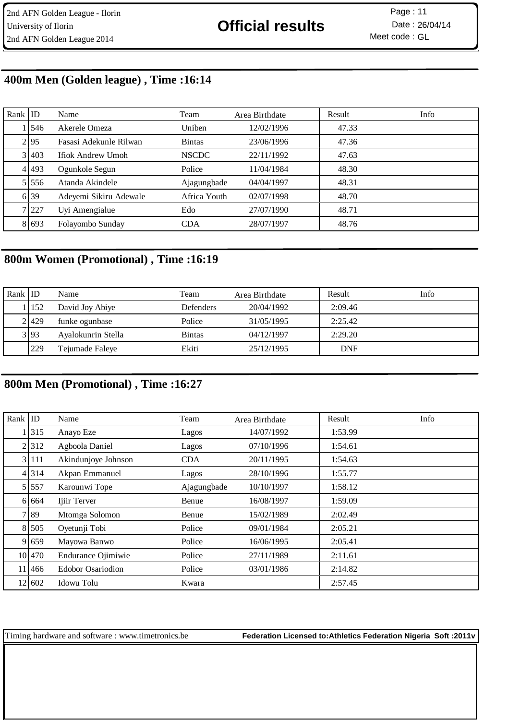## **400m Men (Golden league) , Time :16:14**

| Rank $ $ ID |           | Name                   | Team          | Area Birthdate | Result | Info |
|-------------|-----------|------------------------|---------------|----------------|--------|------|
|             | 1546      | Akerele Omeza          | Uniben        | 12/02/1996     | 47.33  |      |
|             | 2.95      | Fasasi Adekunle Rilwan | <b>Bintas</b> | 23/06/1996     | 47.36  |      |
|             | 3 403     | Ifiok Andrew Umoh      | <b>NSCDC</b>  | 22/11/1992     | 47.63  |      |
|             | 4 493     | Ogunkole Segun         | Police        | 11/04/1984     | 48.30  |      |
|             | 5 5 5 5 6 | Atanda Akindele        | Ajagungbade   | 04/04/1997     | 48.31  |      |
|             | 6 39      | Adeyemi Sikiru Adewale | Africa Youth  | 02/07/1998     | 48.70  |      |
|             | 7 227     | Uyi Amengialue         | Edo           | 27/07/1990     | 48.71  |      |
|             | 8 6 6 9 3 | Folayombo Sunday       | <b>CDA</b>    | 28/07/1997     | 48.76  |      |

# **800m Women (Promotional) , Time :16:19**

| Rank ID |       | Name               | Team             | Area Birthdate | Result     | Info |
|---------|-------|--------------------|------------------|----------------|------------|------|
|         | 11152 | David Joy Abiye    | <b>Defenders</b> | 20/04/1992     | 2:09.46    |      |
|         | 2.429 | funke ogunbase     | Police           | 31/05/1995     | 2:25.42    |      |
|         | 3 93  | Ayalokunrin Stella | <b>Bintas</b>    | 04/12/1997     | 2:29.20    |      |
|         | 229   | Tejumade Faleye    | Ekiti            | 25/12/1995     | <b>DNF</b> |      |

# **800m Men (Promotional) , Time :16:27**

| Rank $ $ ID |         | Name                     | Team        | Area Birthdate | Result  | Info |
|-------------|---------|--------------------------|-------------|----------------|---------|------|
|             | 315     | Anayo Eze                | Lagos       | 14/07/1992     | 1:53.99 |      |
|             | 2 3 1 2 | Agboola Daniel           | Lagos       | 07/10/1996     | 1:54.61 |      |
|             | 3 111   | Akindunjoye Johnson      | <b>CDA</b>  | 20/11/1995     | 1:54.63 |      |
|             | 4 314   | Akpan Emmanuel           | Lagos       | 28/10/1996     | 1:55.77 |      |
|             | 5 5 5 7 | Karounwi Tope            | Ajagungbade | 10/10/1997     | 1:58.12 |      |
|             | 6 6 6 4 | Ijiir Terver             | Benue       | 16/08/1997     | 1:59.09 |      |
|             | 7 8 9   | Mtomga Solomon           | Benue       | 15/02/1989     | 2:02.49 |      |
|             | 8 505   | Oyetunji Tobi            | Police      | 09/01/1984     | 2:05.21 |      |
|             | 9 659   | Mayowa Banwo             | Police      | 16/06/1995     | 2:05.41 |      |
|             | 10 470  | Endurance Ojimiwie       | Police      | 27/11/1989     | 2:11.61 |      |
|             | 11 466  | <b>Edobor Osariodion</b> | Police      | 03/01/1986     | 2:14.82 |      |
|             | 12 602  | Idowu Tolu               | Kwara       |                | 2:57.45 |      |